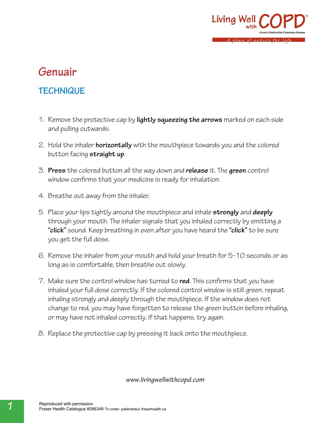

# **Genuair**

### **TECHNIQUE**

- 1. Remove the protective cap by **lightly squeezing the arrows** marked on each side and pulling outwards.
- 2. Hold the inhaler **horizontally** with the mouthpiece towards you and the colored button facing **straight up**.
- 3. **Press** the colored button all the way down and **release** it. The **green** control window confirms that your medicine is ready for inhalation.
- 4. Breathe out away from the inhaler.
- 5. Place your lips tightly around the mouthpiece and inhale **strongly** and **deeply** through your mouth. The inhaler signals that you inhaled correctly by emitting a **"click"** sound. Keep breathing in even after you have heard the **"click"** to be sure you get the full dose.
- 6. Remove the inhaler from your mouth and hold your breath for 5-10 seconds or as long as is comfortable, then breathe out slowly.
- 7. Make sure the control window has turned to **red**. This confirms that you have inhaled your full dose correctly. If the colored control window is still green, repeat inhaling strongly and deeply through the mouthpiece. If the window does not change to red, you may have forgotten to release the green button before inhaling, or may have not inhaled correctly. If that happens, try again.
- 8. Replace the protective cap by pressing it back onto the mouthpiece.

*www.livingwellwithcopd.com*